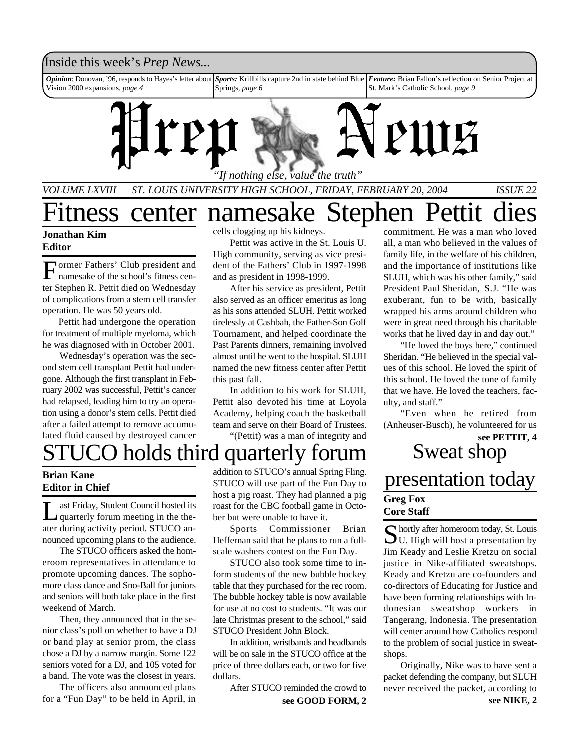### Inside this week's *Prep News*...

*Opinion*: Donovan, '96, responds to Hayes's letter about Vision 2000 expansions, *page 4 Sports:* Krillbills capture 2nd in state behind Blue Springs, *page 6 Feature:* Brian Fallon's reflection on Senior Project at St. Mark's Catholic School, *page 9*



*VOLUME LXVIII ST. LOUIS UNIVERSITY HIGH SCHOOL, FRIDAY, FEBRUARY 20, 2004 ISSUE 22*

tness center namesake Stephen Pettit

### **Jonathan Kim Editor**

F ormer Fathers' Club president and namesake of the school's fitness center Stephen R. Pettit died on Wednesday of complications from a stem cell transfer operation. He was 50 years old.

Pettit had undergone the operation for treatment of multiple myeloma, which he was diagnosed with in October 2001.

Wednesday's operation was the second stem cell transplant Pettit had undergone. Although the first transplant in February 2002 was successful, Pettit's cancer had relapsed, leading him to try an operation using a donor's stem cells. Pettit died after a failed attempt to remove accumulated fluid caused by destroyed cancer cells clogging up his kidneys.

Pettit was active in the St. Louis U. High community, serving as vice president of the Fathers' Club in 1997-1998 and as president in 1998-1999.

After his service as president, Pettit also served as an officer emeritus as long as his sons attended SLUH. Pettit worked tirelessly at Cashbah, the Father-Son Golf Tournament, and helped coordinate the Past Parents dinners, remaining involved almost until he went to the hospital. SLUH named the new fitness center after Pettit this past fall.

In addition to his work for SLUH, Pettit also devoted his time at Loyola Academy, helping coach the basketball team and serve on their Board of Trustees.

"(Pettit) was a man of integrity and

**Brian Kane**

**Editor in Chief**

Let Friday, Student Council hosted its<br>quarterly forum meeting in the theast Friday, Student Council hosted its ater during activity period. STUCO announced upcoming plans to the audience.

The STUCO officers asked the homeroom representatives in attendance to promote upcoming dances. The sophomore class dance and Sno-Ball for juniors and seniors will both take place in the first weekend of March.

Then, they announced that in the senior class's poll on whether to have a DJ or band play at senior prom, the class chose a DJ by a narrow margin. Some 122 seniors voted for a DJ, and 105 voted for a band. The vote was the closest in years.

The officers also announced plans for a "Fun Day" to be held in April, in

addition to STUCO's annual Spring Fling. STUCO will use part of the Fun Day to host a pig roast. They had planned a pig roast for the CBC football game in October but were unable to have it.

Sports Commissioner Brian Heffernan said that he plans to run a fullscale washers contest on the Fun Day.

STUCO also took some time to inform students of the new bubble hockey table that they purchased for the rec room. The bubble hockey table is now available for use at no cost to students. "It was our late Christmas present to the school," said STUCO President John Block.

In addition, wristbands and headbands will be on sale in the STUCO office at the price of three dollars each, or two for five dollars.

After STUCO reminded the crowd to

commitment. He was a man who loved all, a man who believed in the values of family life, in the welfare of his children, and the importance of institutions like SLUH, which was his other family," said President Paul Sheridan, S.J. "He was exuberant, fun to be with, basically wrapped his arms around children who were in great need through his charitable works that he lived day in and day out."

"He loved the boys here," continued Sheridan. "He believed in the special values of this school. He loved the spirit of this school. He loved the tone of family that we have. He loved the teachers, faculty, and staff."

"Even when he retired from (Anheuser-Busch), he volunteered for us **see PETTIT, 4**

## holds third quarterly forum Sweat shop presentation today **Greg Fox Core Staff**

S hortly after homeroom today, St. Louis<br>U. High will host a presentation by hortly after homeroom today, St. Louis Jim Keady and Leslie Kretzu on social justice in Nike-affiliated sweatshops. Keady and Kretzu are co-founders and co-directors of Educating for Justice and have been forming relationships with Indonesian sweatshop workers in Tangerang, Indonesia. The presentation will center around how Catholics respond to the problem of social justice in sweatshops.

Originally, Nike was to have sent a packet defending the company, but SLUH never received the packet, according to **see GOOD FORM, 2 see NIKE, 2**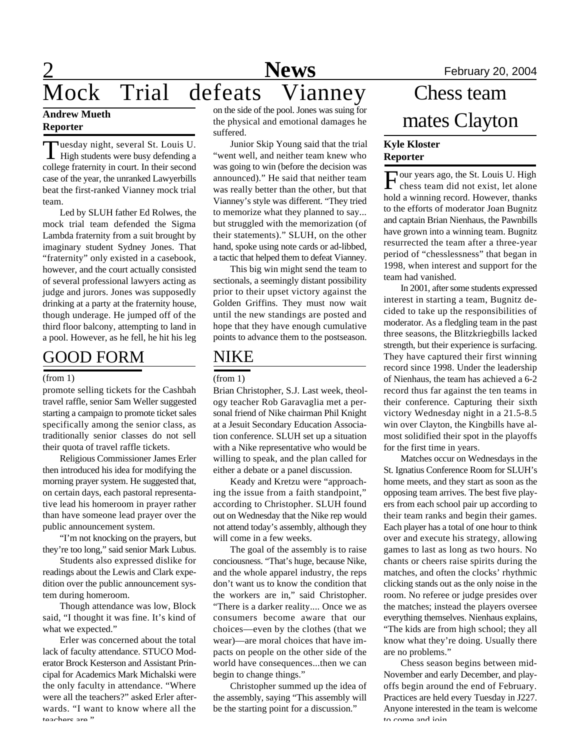# 2 **News** February 20, 2004 Mock Trial defeats Vianney

### **Andrew Mueth Reporter**

Tuesday night, several St. Louis U.<br>High students were busy defending a uesday night, several St. Louis U. college fraternity in court. In their second case of the year, the unranked Lawyerbills beat the first-ranked Vianney mock trial team.

Led by SLUH father Ed Rolwes, the mock trial team defended the Sigma Lambda fraternity from a suit brought by imaginary student Sydney Jones. That "fraternity" only existed in a casebook, however, and the court actually consisted of several professional lawyers acting as judge and jurors. Jones was supposedly drinking at a party at the fraternity house, though underage. He jumped off of the third floor balcony, attempting to land in a pool. However, as he fell, he hit his leg

## GOOD FORM

### (from 1)

promote selling tickets for the Cashbah travel raffle, senior Sam Weller suggested starting a campaign to promote ticket sales specifically among the senior class, as traditionally senior classes do not sell their quota of travel raffle tickets.

Religious Commissioner James Erler then introduced his idea for modifying the morning prayer system. He suggested that, on certain days, each pastoral representative lead his homeroom in prayer rather than have someone lead prayer over the public announcement system.

"I'm not knocking on the prayers, but they're too long," said senior Mark Lubus.

Students also expressed dislike for readings about the Lewis and Clark expedition over the public announcement system during homeroom.

Though attendance was low, Block said, "I thought it was fine. It's kind of what we expected."

Erler was concerned about the total lack of faculty attendance. STUCO Moderator Brock Kesterson and Assistant Principal for Academics Mark Michalski were the only faculty in attendance. "Where were all the teachers?" asked Erler afterwards. "I want to know where all the toachers are."

on the side of the pool. Jones was suing for the physical and emotional damages he suffered.

Junior Skip Young said that the trial "went well, and neither team knew who was going to win (before the decision was announced)." He said that neither team was really better than the other, but that Vianney's style was different. "They tried to memorize what they planned to say... but struggled with the memorization (of their statements)." SLUH, on the other hand, spoke using note cards or ad-libbed, a tactic that helped them to defeat Vianney.

This big win might send the team to sectionals, a seemingly distant possibility prior to their upset victory against the Golden Griffins. They must now wait until the new standings are posted and hope that they have enough cumulative points to advance them to the postseason.

### NIKE

### (from 1)

Brian Christopher, S.J. Last week, theology teacher Rob Garavaglia met a personal friend of Nike chairman Phil Knight at a Jesuit Secondary Education Association conference. SLUH set up a situation with a Nike representative who would be willing to speak, and the plan called for either a debate or a panel discussion.

Keady and Kretzu were "approaching the issue from a faith standpoint," according to Christopher. SLUH found out on Wednesday that the Nike rep would not attend today's assembly, although they will come in a few weeks.

The goal of the assembly is to raise conciousness. "That's huge, because Nike, and the whole apparel industry, the reps don't want us to know the condition that the workers are in," said Christopher. "There is a darker reality.... Once we as consumers become aware that our choices—even by the clothes (that we wear)—are moral choices that have impacts on people on the other side of the world have consequences...then we can begin to change things."

Christopher summed up the idea of the assembly, saying "This assembly will be the starting point for a discussion."

# Chess team mates Clayton

### **Kyle Kloster Reporter**

Four years ago, the St. Louis U. High chess team did not exist, let alone hold a winning record. However, thanks to the efforts of moderator Joan Bugnitz and captain Brian Nienhaus, the Pawnbills have grown into a winning team. Bugnitz resurrected the team after a three-year period of "chesslessness" that began in 1998, when interest and support for the team had vanished.

In 2001, after some students expressed interest in starting a team, Bugnitz decided to take up the responsibilities of moderator. As a fledgling team in the past three seasons, the Blitzkriegbills lacked strength, but their experience is surfacing. They have captured their first winning record since 1998. Under the leadership of Nienhaus, the team has achieved a 6-2 record thus far against the ten teams in their conference. Capturing their sixth victory Wednesday night in a 21.5-8.5 win over Clayton, the Kingbills have almost solidified their spot in the playoffs for the first time in years.

Matches occur on Wednesdays in the St. Ignatius Conference Room for SLUH's home meets, and they start as soon as the opposing team arrives. The best five players from each school pair up according to their team ranks and begin their games. Each player has a total of one hour to think over and execute his strategy, allowing games to last as long as two hours. No chants or cheers raise spirits during the matches, and often the clocks' rhythmic clicking stands out as the only noise in the room. No referee or judge presides over the matches; instead the players oversee everything themselves. Nienhaus explains, "The kids are from high school; they all know what they're doing. Usually there are no problems."

Chess season begins between mid-November and early December, and playoffs begin around the end of February. Practices are held every Tuesday in J227. Anyone interested in the team is welcome to come and ioin.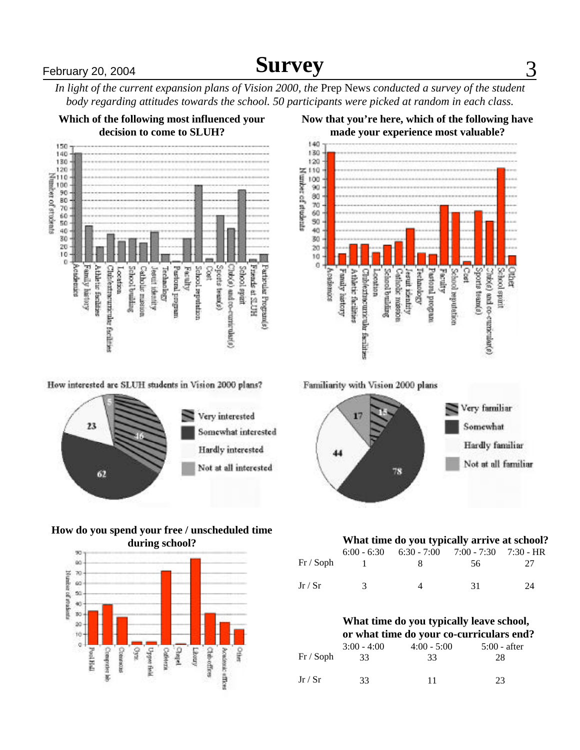# **February 20, 2004 Constant Constructed Survey** 3

*In light of the current expansion plans of Vision 2000, the* Prep News *conducted a survey of the student body regarding attitudes towards the school. 50 participants were picked at random in each class.*



How interested are SLUH students in Vision 2000 plans?



### **How do you spend your free / unscheduled time during school?**





Familiarity with Vision 2000 plans



### **What time do you typically arrive at school?**

| Fr / Soph |               | $6:00 - 6:30$ $6:30 - 7:00$ $7:00 - 7:30$ $7:30 - HR$<br>x. | 56. | -27 |
|-----------|---------------|-------------------------------------------------------------|-----|-----|
| Jr/Sr     | $\mathcal{R}$ | Δ                                                           | -31 | 24  |

#### **What time do you typically leave school, or what time do your co-curriculars end?**

|           |               | or what three do your co-curriculars end. |                |  |
|-----------|---------------|-------------------------------------------|----------------|--|
|           | $3:00 - 4:00$ | $4:00 - 5:00$                             | $5:00$ - after |  |
| Fr / Soph | 33            | 33                                        | 28             |  |
| Jr / Sr   | 33            | 11                                        | 23             |  |

### **Now that you're here, which of the following have**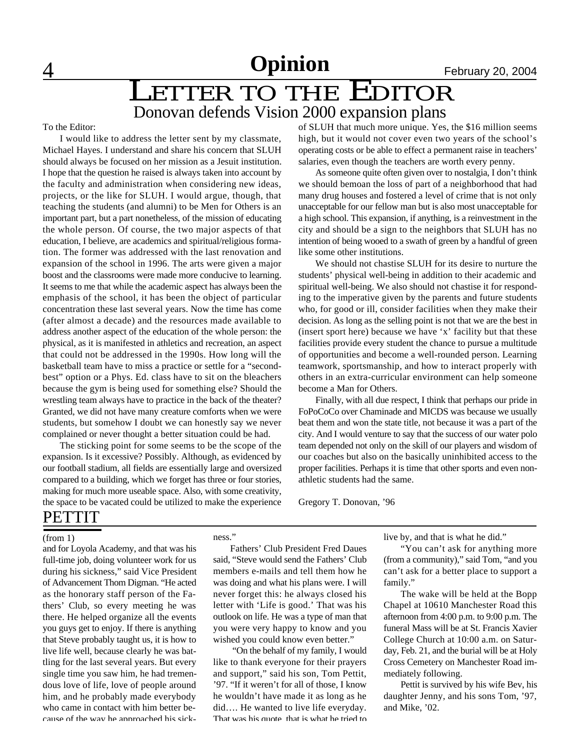# **4** 1 1 1 1 1 2 2004

# LETTER TO THE EDITOR Donovan defends Vision 2000 expansion plans

To the Editor:

I would like to address the letter sent by my classmate, Michael Hayes. I understand and share his concern that SLUH should always be focused on her mission as a Jesuit institution. I hope that the question he raised is always taken into account by the faculty and administration when considering new ideas, projects, or the like for SLUH. I would argue, though, that teaching the students (and alumni) to be Men for Others is an important part, but a part nonetheless, of the mission of educating the whole person. Of course, the two major aspects of that education, I believe, are academics and spiritual/religious formation. The former was addressed with the last renovation and expansion of the school in 1996. The arts were given a major boost and the classrooms were made more conducive to learning. It seems to me that while the academic aspect has always been the emphasis of the school, it has been the object of particular concentration these last several years. Now the time has come (after almost a decade) and the resources made available to address another aspect of the education of the whole person: the physical, as it is manifested in athletics and recreation, an aspect that could not be addressed in the 1990s. How long will the basketball team have to miss a practice or settle for a "secondbest" option or a Phys. Ed. class have to sit on the bleachers because the gym is being used for something else? Should the wrestling team always have to practice in the back of the theater? Granted, we did not have many creature comforts when we were students, but somehow I doubt we can honestly say we never complained or never thought a better situation could be had.

The sticking point for some seems to be the scope of the expansion. Is it excessive? Possibly. Although, as evidenced by our football stadium, all fields are essentially large and oversized compared to a building, which we forget has three or four stories, making for much more useable space. Also, with some creativity, the space to be vacated could be utilized to make the experience of SLUH that much more unique. Yes, the \$16 million seems high, but it would not cover even two years of the school's operating costs or be able to effect a permanent raise in teachers' salaries, even though the teachers are worth every penny.

As someone quite often given over to nostalgia, I don't think we should bemoan the loss of part of a neighborhood that had many drug houses and fostered a level of crime that is not only unacceptable for our fellow man but is also most unacceptable for a high school. This expansion, if anything, is a reinvestment in the city and should be a sign to the neighbors that SLUH has no intention of being wooed to a swath of green by a handful of green like some other institutions.

We should not chastise SLUH for its desire to nurture the students' physical well-being in addition to their academic and spiritual well-being. We also should not chastise it for responding to the imperative given by the parents and future students who, for good or ill, consider facilities when they make their decision. As long as the selling point is not that we are the best in (insert sport here) because we have 'x' facility but that these facilities provide every student the chance to pursue a multitude of opportunities and become a well-rounded person. Learning teamwork, sportsmanship, and how to interact properly with others in an extra-curricular environment can help someone become a Man for Others.

Finally, with all due respect, I think that perhaps our pride in FoPoCoCo over Chaminade and MICDS was because we usually beat them and won the state title, not because it was a part of the city. And I would venture to say that the success of our water polo team depended not only on the skill of our players and wisdom of our coaches but also on the basically uninhibited access to the proper facilities. Perhaps it is time that other sports and even nonathletic students had the same.

Gregory T. Donovan, '96

### PETTIT

(from 1)

and for Loyola Academy, and that was his full-time job, doing volunteer work for us during his sickness," said Vice President of Advancement Thom Digman. "He acted as the honorary staff person of the Fathers' Club, so every meeting he was there. He helped organize all the events you guys get to enjoy. If there is anything that Steve probably taught us, it is how to live life well, because clearly he was battling for the last several years. But every single time you saw him, he had tremendous love of life, love of people around him, and he probably made everybody who came in contact with him better because of the way he approached his sickness."

Fathers' Club President Fred Daues said, "Steve would send the Fathers' Club members e-mails and tell them how he was doing and what his plans were. I will never forget this: he always closed his letter with 'Life is good.' That was his outlook on life. He was a type of man that you were very happy to know and you wished you could know even better."

 "On the behalf of my family, I would like to thank everyone for their prayers and support," said his son, Tom Pettit, '97. "If it weren't for all of those, I know he wouldn't have made it as long as he did…. He wanted to live life everyday. That was his quote, that is what he tried to

live by, and that is what he did."

"You can't ask for anything more (from a community)," said Tom, "and you can't ask for a better place to support a family."

The wake will be held at the Bopp Chapel at 10610 Manchester Road this afternoon from 4:00 p.m. to 9:00 p.m. The funeral Mass will be at St. Francis Xavier College Church at 10:00 a.m. on Saturday, Feb. 21, and the burial will be at Holy Cross Cemetery on Manchester Road immediately following.

Pettit is survived by his wife Bev, his daughter Jenny, and his sons Tom, '97, and Mike, '02.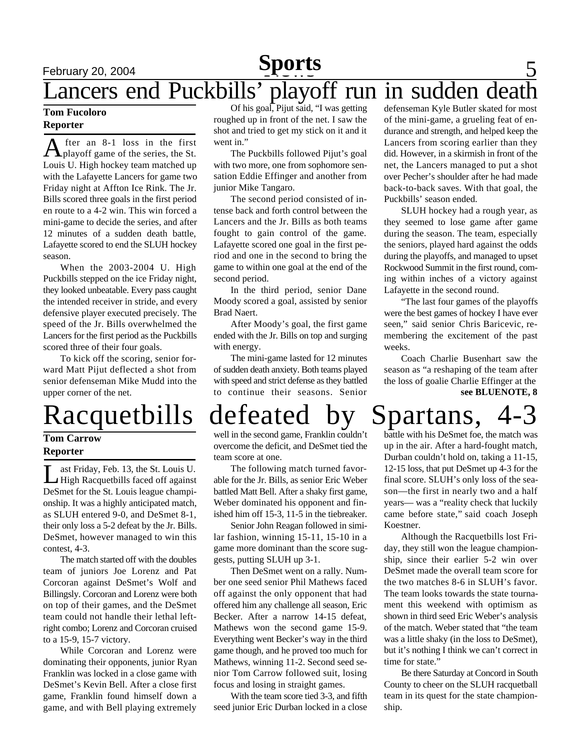### **February 20, 2004 News** 5 Lancers end Puckbills' playoff run in sudden de **Sports**

### **Tom Fucoloro Reporter**

A fter an 8-1 loss in the first<br>playoff game of the series, the St. fter an 8-1 loss in the first Louis U. High hockey team matched up with the Lafayette Lancers for game two Friday night at Affton Ice Rink. The Jr. Bills scored three goals in the first period en route to a 4-2 win. This win forced a mini-game to decide the series, and after 12 minutes of a sudden death battle, Lafayette scored to end the SLUH hockey season.

When the 2003-2004 U. High Puckbills stepped on the ice Friday night, they looked unbeatable. Every pass caught the intended receiver in stride, and every defensive player executed precisely. The speed of the Jr. Bills overwhelmed the Lancers for the first period as the Puckbills scored three of their four goals.

To kick off the scoring, senior forward Matt Pijut deflected a shot from senior defenseman Mike Mudd into the upper corner of the net.

### **Tom Carrow Reporter**

 $\prod_{n=1}^{\infty}$ ast Friday, Feb. 13, the St. Louis U. High Racquetbills faced off against DeSmet for the St. Louis league championship. It was a highly anticipated match, as SLUH entered 9-0, and DeSmet 8-1, their only loss a 5-2 defeat by the Jr. Bills. DeSmet, however managed to win this contest, 4-3.

The match started off with the doubles team of juniors Joe Lorenz and Pat Corcoran against DeSmet's Wolf and Billingsly. Corcoran and Lorenz were both on top of their games, and the DeSmet team could not handle their lethal leftright combo; Lorenz and Corcoran cruised to a 15-9, 15-7 victory.

While Corcoran and Lorenz were dominating their opponents, junior Ryan Franklin was locked in a close game with DeSmet's Kevin Bell. After a close first game, Franklin found himself down a game, and with Bell playing extremely

Of his goal, Pijut said, "I was getting roughed up in front of the net. I saw the shot and tried to get my stick on it and it went in."

The Puckbills followed Pijut's goal with two more, one from sophomore sensation Eddie Effinger and another from junior Mike Tangaro.

The second period consisted of intense back and forth control between the Lancers and the Jr. Bills as both teams fought to gain control of the game. Lafayette scored one goal in the first period and one in the second to bring the game to within one goal at the end of the second period.

In the third period, senior Dane Moody scored a goal, assisted by senior Brad Naert.

After Moody's goal, the first game ended with the Jr. Bills on top and surging with energy.

The mini-game lasted for 12 minutes of sudden death anxiety. Both teams played with speed and strict defense as they battled to continue their seasons. Senior

defenseman Kyle Butler skated for most of the mini-game, a grueling feat of endurance and strength, and helped keep the Lancers from scoring earlier than they did. However, in a skirmish in front of the net, the Lancers managed to put a shot over Pecher's shoulder after he had made back-to-back saves. With that goal, the Puckbills' season ended.

SLUH hockey had a rough year, as they seemed to lose game after game during the season. The team, especially the seniors, played hard against the odds during the playoffs, and managed to upset Rockwood Summit in the first round, coming within inches of a victory against Lafayette in the second round.

"The last four games of the playoffs were the best games of hockey I have ever seen," said senior Chris Baricevic, remembering the excitement of the past weeks.

**see BLUENOTE, 8** Coach Charlie Busenhart saw the season as "a reshaping of the team after the loss of goalie Charlie Effinger at the

# Racquetbills defeated by Spartans,

well in the second game, Franklin couldn't overcome the deficit, and DeSmet tied the team score at one.

The following match turned favorable for the Jr. Bills, as senior Eric Weber battled Matt Bell. After a shaky first game, Weber dominated his opponent and finished him off 15-3, 11-5 in the tiebreaker.

Senior John Reagan followed in similar fashion, winning 15-11, 15-10 in a game more dominant than the score suggests, putting SLUH up 3-1.

Then DeSmet went on a rally. Number one seed senior Phil Mathews faced off against the only opponent that had offered him any challenge all season, Eric Becker. After a narrow 14-15 defeat, Mathews won the second game 15-9. Everything went Becker's way in the third game though, and he proved too much for Mathews, winning 11-2. Second seed senior Tom Carrow followed suit, losing focus and losing in straight games.

With the team score tied 3-3, and fifth seed junior Eric Durban locked in a close

battle with his DeSmet foe, the match was up in the air. After a hard-fought match, Durban couldn't hold on, taking a 11-15, 12-15 loss, that put DeSmet up 4-3 for the final score. SLUH's only loss of the season—the first in nearly two and a half years— was a "reality check that luckily came before state," said coach Joseph Koestner.

Although the Racquetbills lost Friday, they still won the league championship, since their earlier 5-2 win over DeSmet made the overall team score for the two matches 8-6 in SLUH's favor. The team looks towards the state tournament this weekend with optimism as shown in third seed Eric Weber's analysis of the match. Weber stated that "the team was a little shaky (in the loss to DeSmet), but it's nothing I think we can't correct in time for state.'

Be there Saturday at Concord in South County to cheer on the SLUH racquetball team in its quest for the state championship.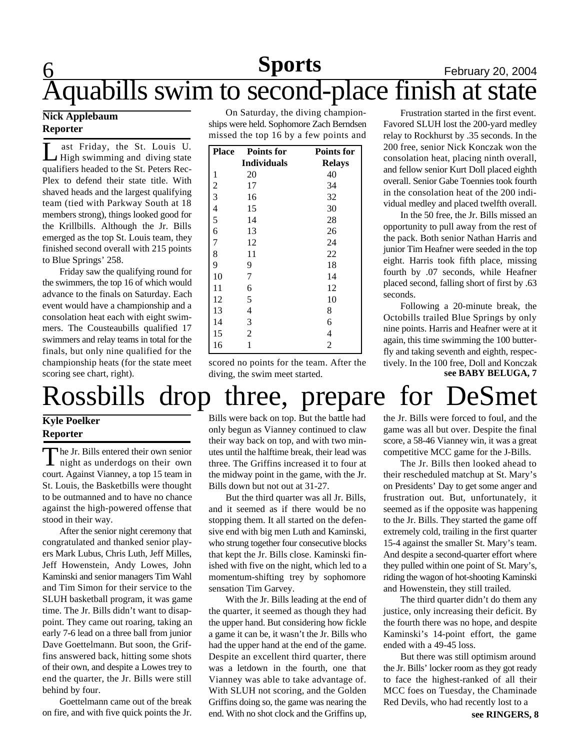## **6 News** February 20, 2004 **Sports** Aquabills swim to second-place finish at state

### **Nick Applebaum Reporter**

L ast Friday, the St. Louis U. High swimming and diving state qualifiers headed to the St. Peters Rec-Plex to defend their state title. With shaved heads and the largest qualifying team (tied with Parkway South at 18 members strong), things looked good for the Krillbills. Although the Jr. Bills emerged as the top St. Louis team, they finished second overall with 215 points to Blue Springs' 258.

Friday saw the qualifying round for the swimmers, the top 16 of which would advance to the finals on Saturday. Each event would have a championship and a consolation heat each with eight swimmers. The Cousteaubills qualified 17 swimmers and relay teams in total for the finals, but only nine qualified for the championship heats (for the state meet scoring see chart, right).

On Saturday, the diving championships were held. Sophomore Zach Berndsen missed the top 16 by a few points and

| <b>Place</b> | <b>Points for</b>  | <b>Points for</b> |
|--------------|--------------------|-------------------|
|              | <b>Individuals</b> | <b>Relays</b>     |
| $\mathbf{1}$ | 20                 | 40                |
|              | 17                 | 34                |
|              | 16                 | 32                |
|              | 15                 | 30                |
| 2 3 4 5 6    | 14                 | 28                |
|              | 13                 | 26                |
| 7            | 12                 | 24                |
| 8            | 11                 | 22                |
| 9            | 9                  | 18                |
| 10           | 7                  | 14                |
| 11           | 6                  | 12                |
| 12           | 5                  | 10                |
| 13           | $\overline{4}$     | 8                 |
| 14           | 3                  | 6                 |
| 15           | $\overline{2}$     | $\overline{4}$    |
| 16           | $\mathbf{1}$       | $\overline{2}$    |

scored no points for the team. After the diving, the swim meet started.

Frustration started in the first event. Favored SLUH lost the 200-yard medley relay to Rockhurst by .35 seconds. In the 200 free, senior Nick Konczak won the consolation heat, placing ninth overall, and fellow senior Kurt Doll placed eighth overall. Senior Gabe Toennies took fourth in the consolation heat of the 200 individual medley and placed twelfth overall.

In the 50 free, the Jr. Bills missed an opportunity to pull away from the rest of the pack. Both senior Nathan Harris and junior Tim Heafner were seeded in the top eight. Harris took fifth place, missing fourth by .07 seconds, while Heafner placed second, falling short of first by .63 seconds.

Following a 20-minute break, the Octobills trailed Blue Springs by only nine points. Harris and Heafner were at it again, this time swimming the 100 butterfly and taking seventh and eighth, respectively. In the 100 free, Doll and Konczak **see BABY BELUGA, 7**

# Rossbills drop three, prepare for DeSmet

### **Kyle Poelker Reporter**

The Jr. Bills entered their own senior<br>night as underdogs on their own he Jr. Bills entered their own senior court. Against Vianney, a top 15 team in St. Louis, the Basketbills were thought to be outmanned and to have no chance against the high-powered offense that stood in their way.

After the senior night ceremony that congratulated and thanked senior players Mark Lubus, Chris Luth, Jeff Milles, Jeff Howenstein, Andy Lowes, John Kaminski and senior managers Tim Wahl and Tim Simon for their service to the SLUH basketball program, it was game time. The Jr. Bills didn't want to disappoint. They came out roaring, taking an early 7-6 lead on a three ball from junior Dave Goettelmann. But soon, the Griffins answered back, hitting some shots of their own, and despite a Lowes trey to end the quarter, the Jr. Bills were still behind by four.

Goettelmann came out of the break

Bills were back on top. But the battle had only begun as Vianney continued to claw their way back on top, and with two minutes until the halftime break, their lead was three. The Griffins increased it to four at the midway point in the game, with the Jr. Bills down but not out at 31-27.

But the third quarter was all Jr. Bills, and it seemed as if there would be no stopping them. It all started on the defensive end with big men Luth and Kaminski, who strung together four consecutive blocks that kept the Jr. Bills close. Kaminski finished with five on the night, which led to a momentum-shifting trey by sophomore sensation Tim Garvey.

on fire, and with five quick points the Jr. and. With no shot clock and the Griffins up, see RINGERS, 8 With the Jr. Bills leading at the end of the quarter, it seemed as though they had the upper hand. But considering how fickle a game it can be, it wasn't the Jr. Bills who had the upper hand at the end of the game. Despite an excellent third quarter, there was a letdown in the fourth, one that Vianney was able to take advantage of. With SLUH not scoring, and the Golden Griffins doing so, the game was nearing the

the Jr. Bills were forced to foul, and the game was all but over. Despite the final score, a 58-46 Vianney win, it was a great competitive MCC game for the J-Bills.

The Jr. Bills then looked ahead to their rescheduled matchup at St. Mary's on Presidents' Day to get some anger and frustration out. But, unfortunately, it seemed as if the opposite was happening to the Jr. Bills. They started the game off extremely cold, trailing in the first quarter 15-4 against the smaller St. Mary's team. And despite a second-quarter effort where they pulled within one point of St. Mary's, riding the wagon of hot-shooting Kaminski and Howenstein, they still trailed.

The third quarter didn't do them any justice, only increasing their deficit. By the fourth there was no hope, and despite Kaminski's 14-point effort, the game ended with a 49-45 loss.

But there was still optimism around the Jr. Bills' locker room as they got ready to face the highest-ranked of all their MCC foes on Tuesday, the Chaminade Red Devils, who had recently lost to a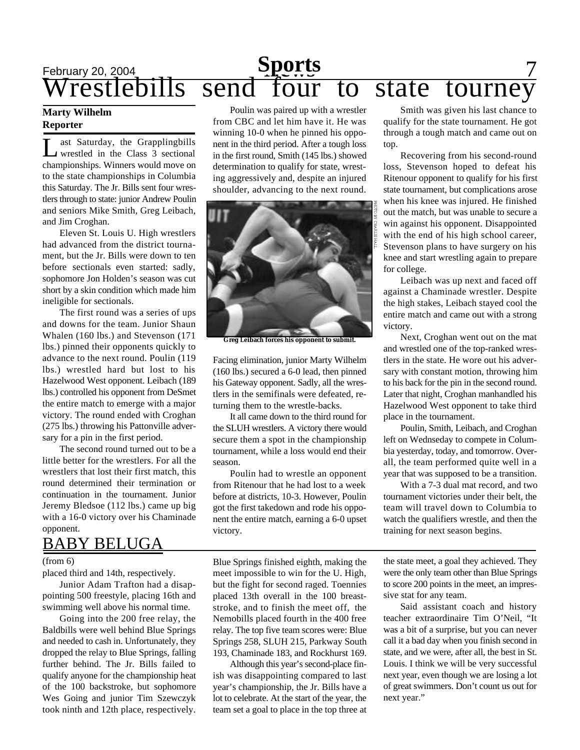# **February 20, 2004 Sports** 7 Wrestlebills send four to state tourney

### **Marty Wilhelm Reporter**

L ast Saturday, the Grapplingbills wrestled in the Class 3 sectional championships. Winners would move on to the state championships in Columbia this Saturday. The Jr. Bills sent four wrestlers through to state: junior Andrew Poulin and seniors Mike Smith, Greg Leibach, and Jim Croghan.

Eleven St. Louis U. High wrestlers had advanced from the district tournament, but the Jr. Bills were down to ten before sectionals even started: sadly, sophomore Jon Holden's season was cut short by a skin condition which made him ineligible for sectionals.

The first round was a series of ups and downs for the team. Junior Shaun Whalen (160 lbs.) and Stevenson (171 lbs.) pinned their opponents quickly to advance to the next round. Poulin (119 lbs.) wrestled hard but lost to his Hazelwood West opponent. Leibach (189 lbs.) controlled his opponent from DeSmet the entire match to emerge with a major victory. The round ended with Croghan (275 lbs.) throwing his Pattonville adversary for a pin in the first period.

The second round turned out to be a little better for the wrestlers. For all the wrestlers that lost their first match, this round determined their termination or continuation in the tournament. Junior Jeremy Bledsoe (112 lbs.) came up big with a 16-0 victory over his Chaminade opponent.

## BABY BELUGA

### (from 6)

placed third and 14th, respectively.

Junior Adam Trafton had a disappointing 500 freestyle, placing 16th and swimming well above his normal time.

Going into the 200 free relay, the Baldbills were well behind Blue Springs and needed to cash in. Unfortunately, they dropped the relay to Blue Springs, falling further behind. The Jr. Bills failed to qualify anyone for the championship heat of the 100 backstroke, but sophomore Wes Going and junior Tim Szewczyk took ninth and 12th place, respectively.

Poulin was paired up with a wrestler from CBC and let him have it. He was winning 10-0 when he pinned his opponent in the third period. After a tough loss in the first round, Smith (145 lbs.) showed determination to qualify for state, wresting aggressively and, despite an injured shoulder, advancing to the next round.



**Greg Leibach forces his opponent to submit.**

Facing elimination, junior Marty Wilhelm (160 lbs.) secured a 6-0 lead, then pinned his Gateway opponent. Sadly, all the wrestlers in the semifinals were defeated, returning them to the wrestle-backs.

It all came down to the third round for the SLUH wrestlers. A victory there would secure them a spot in the championship tournament, while a loss would end their season.

Poulin had to wrestle an opponent from Ritenour that he had lost to a week before at districts, 10-3. However, Poulin got the first takedown and rode his opponent the entire match, earning a 6-0 upset victory.

Blue Springs finished eighth, making the meet impossible to win for the U. High, but the fight for second raged. Toennies placed 13th overall in the 100 breaststroke, and to finish the meet off, the Nemobills placed fourth in the 400 free relay. The top five team scores were: Blue Springs 258, SLUH 215, Parkway South 193, Chaminade 183, and Rockhurst 169.

Although this year's second-place finish was disappointing compared to last year's championship, the Jr. Bills have a lot to celebrate. At the start of the year, the team set a goal to place in the top three at

Smith was given his last chance to qualify for the state tournament. He got through a tough match and came out on top.

Recovering from his second-round loss, Stevenson hoped to defeat his Ritenour opponent to qualify for his first state tournament, but complications arose when his knee was injured. He finished out the match, but was unable to secure a win against his opponent. Disappointed with the end of his high school career, Stevenson plans to have surgery on his knee and start wrestling again to prepare for college.

Leibach was up next and faced off against a Chaminade wrestler. Despite the high stakes, Leibach stayed cool the entire match and came out with a strong victory.

Next, Croghan went out on the mat and wrestled one of the top-ranked wrestlers in the state. He wore out his adversary with constant motion, throwing him to his back for the pin in the second round. Later that night, Croghan manhandled his Hazelwood West opponent to take third place in the tournament.

Poulin, Smith, Leibach, and Croghan left on Wednseday to compete in Columbia yesterday, today, and tomorrow. Overall, the team performed quite well in a year that was supposed to be a transition.

With a 7-3 dual mat record, and two tournament victories under their belt, the team will travel down to Columbia to watch the qualifiers wrestle, and then the training for next season begins.

the state meet, a goal they achieved. They were the only team other than Blue Springs to score 200 points in the meet, an impressive stat for any team.

Said assistant coach and history teacher extraordinaire Tim O'Neil, "It was a bit of a surprise, but you can never call it a bad day when you finish second in state, and we were, after all, the best in St. Louis. I think we will be very successful next year, even though we are losing a lot of great swimmers. Don't count us out for next year."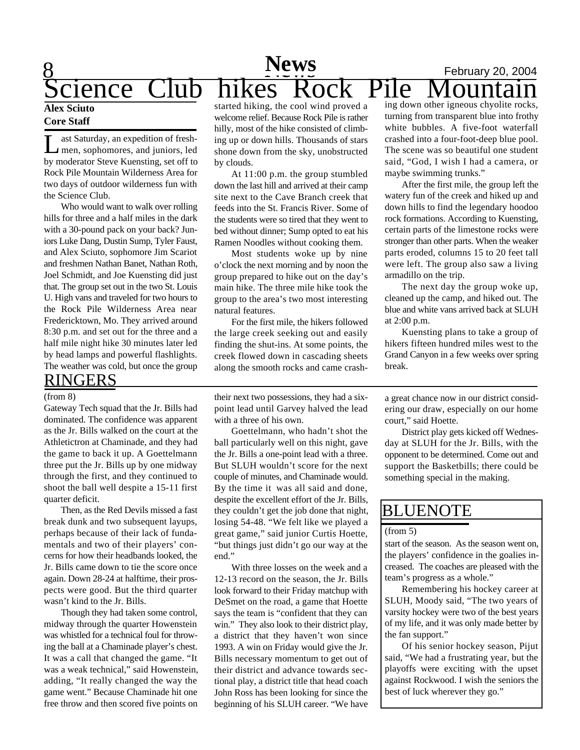### 8 **News** February 20, 2004 **Sports** Cience Club hikes Rock Pile Mountain **Sports News Alex Sciuto**

### **Core Staff**

Let Saturday, an expedition of fresh-<br>men, sophomores, and juniors, led<br>by moderator Steve Kuensting, set off to ast Saturday, an expedition of freshmen, sophomores, and juniors, led Rock Pile Mountain Wilderness Area for two days of outdoor wilderness fun with the Science Club.

Who would want to walk over rolling hills for three and a half miles in the dark with a 30-pound pack on your back? Juniors Luke Dang, Dustin Sump, Tyler Faust, and Alex Sciuto, sophomore Jim Scariot and freshmen Nathan Banet, Nathan Roth, Joel Schmidt, and Joe Kuensting did just that. The group set out in the two St. Louis U. High vans and traveled for two hours to the Rock Pile Wilderness Area near Fredericktown, Mo. They arrived around 8:30 p.m. and set out for the three and a half mile night hike 30 minutes later led by head lamps and powerful flashlights. The weather was cold, but once the group

### RINGERS (from 8)

Gateway Tech squad that the Jr. Bills had dominated. The confidence was apparent as the Jr. Bills walked on the court at the Athletictron at Chaminade, and they had the game to back it up. A Goettelmann three put the Jr. Bills up by one midway through the first, and they continued to shoot the ball well despite a 15-11 first quarter deficit.

Then, as the Red Devils missed a fast break dunk and two subsequent layups, perhaps because of their lack of fundamentals and two of their players' concerns for how their headbands looked, the Jr. Bills came down to tie the score once again. Down 28-24 at halftime, their prospects were good. But the third quarter wasn't kind to the Jr. Bills.

Though they had taken some control, midway through the quarter Howenstein was whistled for a technical foul for throwing the ball at a Chaminade player's chest. It was a call that changed the game. "It was a weak technical," said Howenstein, adding, "It really changed the way the game went." Because Chaminade hit one free throw and then scored five points on

started hiking, the cool wind proved a welcome relief. Because Rock Pile is rather hilly, most of the hike consisted of climbing up or down hills. Thousands of stars shone down from the sky, unobstructed by clouds.

At 11:00 p.m. the group stumbled down the last hill and arrived at their camp site next to the Cave Branch creek that feeds into the St. Francis River. Some of the students were so tired that they went to bed without dinner; Sump opted to eat his Ramen Noodles without cooking them.

Most students woke up by nine o'clock the next morning and by noon the group prepared to hike out on the day's main hike. The three mile hike took the group to the area's two most interesting natural features.

For the first mile, the hikers followed the large creek seeking out and easily finding the shut-ins. At some points, the creek flowed down in cascading sheets along the smooth rocks and came crash-

their next two possessions, they had a sixpoint lead until Garvey halved the lead with a three of his own.

Goettelmann, who hadn't shot the ball particularly well on this night, gave the Jr. Bills a one-point lead with a three. But SLUH wouldn't score for the next couple of minutes, and Chaminade would. By the time it was all said and done, despite the excellent effort of the Jr. Bills, they couldn't get the job done that night, losing 54-48. "We felt like we played a great game," said junior Curtis Hoette, "but things just didn't go our way at the end."

With three losses on the week and a 12-13 record on the season, the Jr. Bills look forward to their Friday matchup with DeSmet on the road, a game that Hoette says the team is "confident that they can win." They also look to their district play, a district that they haven't won since 1993. A win on Friday would give the Jr. Bills necessary momentum to get out of their district and advance towards sectional play, a district title that head coach John Ross has been looking for since the beginning of his SLUH career. "We have ing down other igneous chyolite rocks, turning from transparent blue into frothy white bubbles. A five-foot waterfall crashed into a four-foot-deep blue pool. The scene was so beautiful one student said, "God, I wish I had a camera, or maybe swimming trunks."

After the first mile, the group left the watery fun of the creek and hiked up and down hills to find the legendary hoodoo rock formations. According to Kuensting, certain parts of the limestone rocks were stronger than other parts. When the weaker parts eroded, columns 15 to 20 feet tall were left. The group also saw a living armadillo on the trip.

The next day the group woke up, cleaned up the camp, and hiked out. The blue and white vans arrived back at SLUH at 2:00 p.m.

Kuensting plans to take a group of hikers fifteen hundred miles west to the Grand Canyon in a few weeks over spring break.

a great chance now in our district considering our draw, especially on our home court," said Hoette.

District play gets kicked off Wednesday at SLUH for the Jr. Bills, with the opponent to be determined. Come out and support the Basketbills; there could be something special in the making.

### BLUENOTE

### (from 5)

start of the season. As the season went on, the players' confidence in the goalies increased. The coaches are pleased with the team's progress as a whole."

Remembering his hockey career at SLUH, Moody said, "The two years of varsity hockey were two of the best years of my life, and it was only made better by the fan support."

Of his senior hockey season, Pijut said, "We had a frustrating year, but the playoffs were exciting with the upset against Rockwood. I wish the seniors the best of luck wherever they go."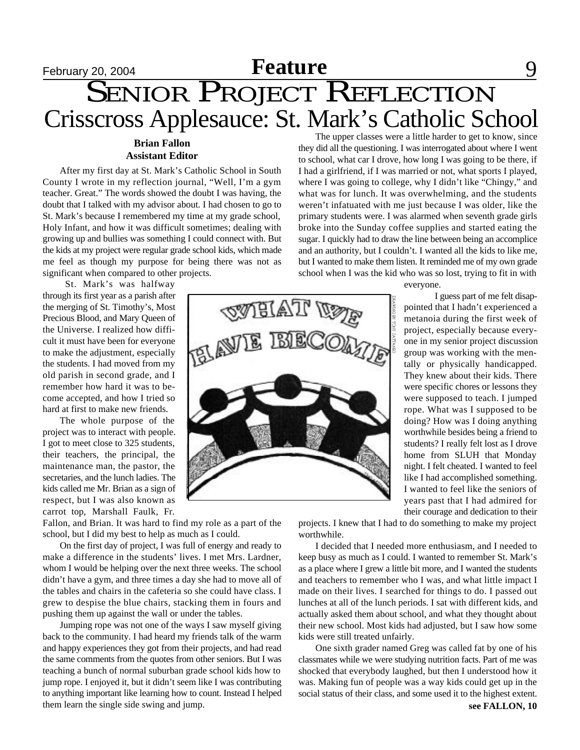# **February 20, 2004 Feature** 9

# SENIOR PROJECT REFLECTION Crisscross Applesauce: St. Mark's Catholic School

### **Brian Fallon Assistant Editor**

After my first day at St. Mark's Catholic School in South County I wrote in my reflection journal, "Well, I'm a gym teacher. Great." The words showed the doubt I was having, the doubt that I talked with my advisor about. I had chosen to go to St. Mark's because I remembered my time at my grade school, Holy Infant, and how it was difficult sometimes; dealing with growing up and bullies was something I could connect with. But the kids at my project were regular grade school kids, which made me feel as though my purpose for being there was not as significant when compared to other projects.

St. Mark's was halfway through its first year as a parish after the merging of St. Timothy's, Most Precious Blood, and Mary Queen of the Universe. I realized how difficult it must have been for everyone to make the adjustment, especially the students. I had moved from my old parish in second grade, and I remember how hard it was to become accepted, and how I tried so hard at first to make new friends.

The whole purpose of the project was to interact with people. I got to meet close to 325 students, their teachers, the principal, the maintenance man, the pastor, the secretaries, and the lunch ladies. The kids called me Mr. Brian as a sign of respect, but I was also known as carrot top, Marshall Faulk, Fr.

Fallon, and Brian. It was hard to find my role as a part of the school, but I did my best to help as much as I could.

On the first day of project, I was full of energy and ready to make a difference in the students' lives. I met Mrs. Lardner, whom I would be helping over the next three weeks. The school didn't have a gym, and three times a day she had to move all of the tables and chairs in the cafeteria so she could have class. I grew to despise the blue chairs, stacking them in fours and pushing them up against the wall or under the tables.

Jumping rope was not one of the ways I saw myself giving back to the community. I had heard my friends talk of the warm and happy experiences they got from their projects, and had read the same comments from the quotes from other seniors. But I was teaching a bunch of normal suburban grade school kids how to jump rope. I enjoyed it, but it didn't seem like I was contributing to anything important like learning how to count. Instead I helped them learn the single side swing and jump.



The upper classes were a little harder to get to know, since they did all the questioning. I was interrogated about where I went to school, what car I drove, how long I was going to be there, if I had a girlfriend, if I was married or not, what sports I played, where I was going to college, why I didn't like "Chingy," and what was for lunch. It was overwhelming, and the students weren't infatuated with me just because I was older, like the primary students were. I was alarmed when seventh grade girls broke into the Sunday coffee supplies and started eating the sugar. I quickly had to draw the line between being an accomplice and an authority, but I couldn't. I wanted all the kids to like me, but I wanted to make them listen. It reminded me of my own grade school when I was the kid who was so lost, trying to fit in with

everyone.

I guess part of me felt disappointed that I hadn't experienced a metanoia during the first week of project, especially because everyone in my senior project discussion group was working with the mentally or physically handicapped. They knew about their kids. There were specific chores or lessons they were supposed to teach. I jumped rope. What was I supposed to be doing? How was I doing anything worthwhile besides being a friend to students? I really felt lost as I drove home from SLUH that Monday night. I felt cheated. I wanted to feel like I had accomplished something. I wanted to feel like the seniors of years past that I had admired for their courage and dedication to their

projects. I knew that I had to do something to make my project worthwhile.

I decided that I needed more enthusiasm, and I needed to keep busy as much as I could. I wanted to remember St. Mark's as a place where I grew a little bit more, and I wanted the students and teachers to remember who I was, and what little impact I made on their lives. I searched for things to do. I passed out lunches at all of the lunch periods. I sat with different kids, and actually asked them about school, and what they thought about their new school. Most kids had adjusted, but I saw how some kids were still treated unfairly.

One sixth grader named Greg was called fat by one of his classmates while we were studying nutrition facts. Part of me was shocked that everybody laughed, but then I understood how it was. Making fun of people was a way kids could get up in the social status of their class, and some used it to the highest extent.